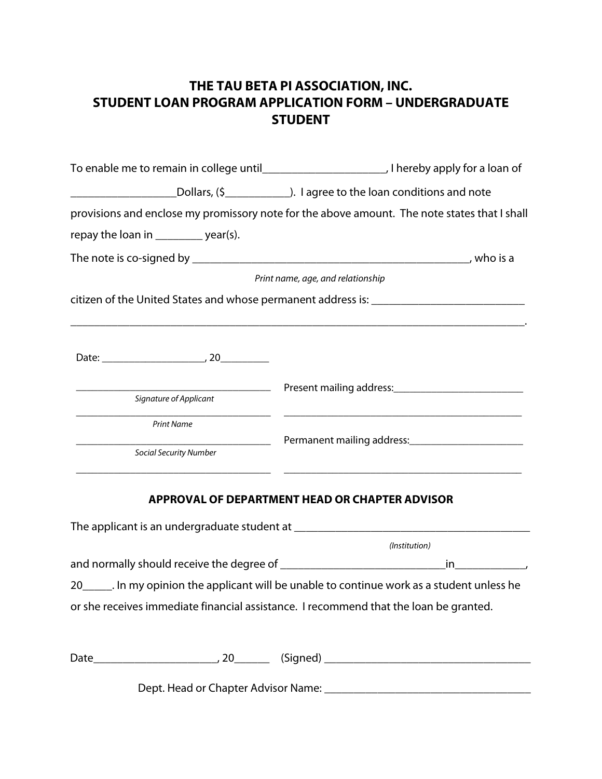## **THE TAU BETA PI ASSOCIATION, INC. STUDENT LOAN PROGRAM APPLICATION FORM – UNDERGRADUATE STUDENT**

|                                        | Dollars, (\$ <u>_______________________________</u> ). I agree to the loan conditions and note |  |  |
|----------------------------------------|------------------------------------------------------------------------------------------------|--|--|
|                                        |                                                                                                |  |  |
|                                        | provisions and enclose my promissory note for the above amount. The note states that I shall   |  |  |
| repay the loan in ___________ year(s). |                                                                                                |  |  |
|                                        |                                                                                                |  |  |
|                                        | Print name, age, and relationship                                                              |  |  |
|                                        | citizen of the United States and whose permanent address is: ____________________              |  |  |
|                                        |                                                                                                |  |  |
|                                        |                                                                                                |  |  |
|                                        |                                                                                                |  |  |
| Signature of Applicant                 | <u> 1989 - Johann Stoff, amerikansk politiker (* 1908)</u>                                     |  |  |
| <b>Print Name</b>                      |                                                                                                |  |  |
| <b>Social Security Number</b>          |                                                                                                |  |  |
|                                        | APPROVAL OF DEPARTMENT HEAD OR CHAPTER ADVISOR                                                 |  |  |
|                                        |                                                                                                |  |  |
|                                        | (Institution)                                                                                  |  |  |
|                                        |                                                                                                |  |  |
|                                        | 20______. In my opinion the applicant will be unable to continue work as a student unless he   |  |  |
|                                        | or she receives immediate financial assistance. I recommend that the loan be granted.          |  |  |

|  | - |  |
|--|---|--|

Dept. Head or Chapter Advisor Name: \_\_\_\_\_\_\_\_\_\_\_\_\_\_\_\_\_\_\_\_\_\_\_\_\_\_\_\_\_\_\_\_\_\_\_